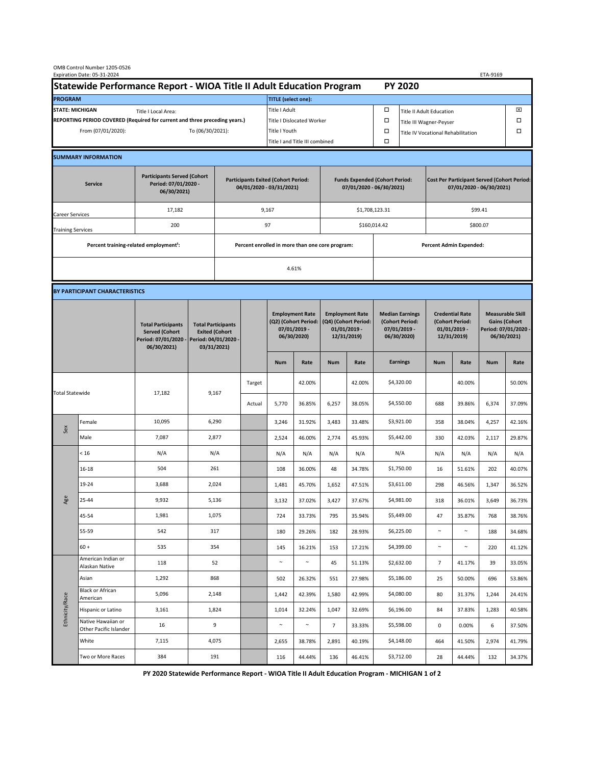| OMB Control Number 1205-0526<br>Expiration Date: 05-31-2024<br>ETA-9169                     |                                                    |                                                                                           |                                                                                           |                                                                        |        |                                                                               |               |                                                                                 |                                |                                                                            |                                    |                                                                                |        |                                                                                        |        |  |
|---------------------------------------------------------------------------------------------|----------------------------------------------------|-------------------------------------------------------------------------------------------|-------------------------------------------------------------------------------------------|------------------------------------------------------------------------|--------|-------------------------------------------------------------------------------|---------------|---------------------------------------------------------------------------------|--------------------------------|----------------------------------------------------------------------------|------------------------------------|--------------------------------------------------------------------------------|--------|----------------------------------------------------------------------------------------|--------|--|
| Statewide Performance Report - WIOA Title II Adult Education Program                        |                                                    |                                                                                           |                                                                                           |                                                                        |        |                                                                               |               |                                                                                 |                                |                                                                            | <b>PY 2020</b>                     |                                                                                |        |                                                                                        |        |  |
| <b>PROGRAM</b>                                                                              |                                                    |                                                                                           |                                                                                           |                                                                        |        | <b>TITLE</b> (select one):                                                    |               |                                                                                 |                                |                                                                            |                                    |                                                                                |        |                                                                                        |        |  |
| <b>STATE: MICHIGAN</b><br>Title I Local Area:                                               |                                                    |                                                                                           |                                                                                           |                                                                        |        | Title I Adult                                                                 |               |                                                                                 |                                | □<br><b>Title II Adult Education</b>                                       |                                    |                                                                                |        |                                                                                        | ⊠      |  |
| REPORTING PERIOD COVERED (Required for current and three preceding years.)                  |                                                    |                                                                                           |                                                                                           |                                                                        |        | Title I Dislocated Worker                                                     |               |                                                                                 |                                | Ω                                                                          | □<br>Title III Wagner-Peyser       |                                                                                |        |                                                                                        |        |  |
| From (07/01/2020):                                                                          |                                                    |                                                                                           |                                                                                           | To (06/30/2021):                                                       |        |                                                                               | Title I Youth |                                                                                 |                                | $\Box$                                                                     | Title IV Vocational Rehabilitation |                                                                                |        | □                                                                                      |        |  |
|                                                                                             |                                                    |                                                                                           |                                                                                           |                                                                        |        | Title I and Title III combined                                                |               |                                                                                 |                                | Ω                                                                          |                                    |                                                                                |        |                                                                                        |        |  |
|                                                                                             | <b>SUMMARY INFORMATION</b>                         |                                                                                           |                                                                                           |                                                                        |        |                                                                               |               |                                                                                 |                                |                                                                            |                                    |                                                                                |        |                                                                                        |        |  |
| <b>Participants Served (Cohort</b><br>Period: 07/01/2020 -<br><b>Service</b><br>06/30/2021) |                                                    |                                                                                           |                                                                                           | <b>Participants Exited (Cohort Period:</b><br>04/01/2020 - 03/31/2021) |        |                                                                               |               | <b>Funds Expended (Cohort Period:</b><br>07/01/2020 - 06/30/2021)               |                                |                                                                            |                                    | <b>Cost Per Participant Served (Cohort Period:</b><br>07/01/2020 - 06/30/2021) |        |                                                                                        |        |  |
| Career Services                                                                             |                                                    | 17,182                                                                                    |                                                                                           |                                                                        |        | 9,167                                                                         |               |                                                                                 |                                | \$1,708,123.31                                                             |                                    | \$99.41                                                                        |        |                                                                                        |        |  |
| <b>Training Services</b>                                                                    |                                                    | 200                                                                                       |                                                                                           | 97                                                                     |        |                                                                               |               |                                                                                 |                                | \$160,014.42                                                               |                                    | \$800.07                                                                       |        |                                                                                        |        |  |
|                                                                                             | Percent training-related employment <sup>1</sup> : |                                                                                           | Percent enrolled in more than one core program:                                           |                                                                        |        |                                                                               |               |                                                                                 | <b>Percent Admin Expended:</b> |                                                                            |                                    |                                                                                |        |                                                                                        |        |  |
|                                                                                             |                                                    |                                                                                           |                                                                                           |                                                                        |        | 4.61%                                                                         |               |                                                                                 |                                |                                                                            |                                    |                                                                                |        |                                                                                        |        |  |
|                                                                                             |                                                    |                                                                                           |                                                                                           |                                                                        |        |                                                                               |               |                                                                                 |                                |                                                                            |                                    |                                                                                |        |                                                                                        |        |  |
|                                                                                             | BY PARTICIPANT CHARACTERISTICS                     |                                                                                           |                                                                                           |                                                                        |        |                                                                               |               |                                                                                 |                                |                                                                            |                                    |                                                                                |        |                                                                                        |        |  |
|                                                                                             |                                                    | <b>Total Participants</b><br><b>Served (Cohort</b><br>Period: 07/01/2020 -<br>06/30/2021) | <b>Total Participants</b><br><b>Exited (Cohort</b><br>Period: 04/01/2020 -<br>03/31/2021) |                                                                        |        | <b>Employment Rate</b><br>(Q2) (Cohort Period:<br>07/01/2019 -<br>06/30/2020) |               | <b>Employment Rate</b><br>(Q4) (Cohort Period:<br>$01/01/2019$ -<br>12/31/2019) |                                | <b>Median Earnings</b><br>(Cohort Period:<br>$07/01/2019 -$<br>06/30/2020) |                                    | <b>Credential Rate</b><br>(Cohort Period:<br>$01/01/2019$ -<br>12/31/2019)     |        | <b>Measurable Skill</b><br><b>Gains (Cohort</b><br>Period: 07/01/2020 -<br>06/30/2021) |        |  |
|                                                                                             |                                                    |                                                                                           |                                                                                           |                                                                        |        | <b>Num</b>                                                                    | Rate          | <b>Num</b>                                                                      | Rate                           |                                                                            | <b>Earnings</b>                    | <b>Num</b>                                                                     | Rate   | <b>Num</b>                                                                             | Rate   |  |
| <b>Total Statewide</b>                                                                      |                                                    | 17,182                                                                                    | 9,167                                                                                     |                                                                        | Target |                                                                               | 42.00%        |                                                                                 | 42.00%                         |                                                                            | \$4,320.00                         |                                                                                | 40.00% |                                                                                        | 50.00% |  |
|                                                                                             |                                                    |                                                                                           |                                                                                           |                                                                        | Actual | 5,770                                                                         | 36.85%        | 6,257                                                                           | 38.05%                         |                                                                            | \$4,550.00                         | 688                                                                            | 39.86% | 6,374                                                                                  | 37.09% |  |
| Sex                                                                                         | Female                                             | 10,095                                                                                    | 6,290                                                                                     |                                                                        |        | 3,246                                                                         | 31.92%        | 3,483                                                                           | 33.48%                         |                                                                            | \$3,921.00                         | 358                                                                            | 38.04% | 4,257                                                                                  | 42.16% |  |
|                                                                                             | Male                                               | 7,087                                                                                     | 2,877                                                                                     |                                                                        |        | 2,524                                                                         | 46.00%        | 2,774                                                                           | 45.93%                         |                                                                            | \$5,442.00                         | 330                                                                            | 42.03% | 2,117                                                                                  | 29.87% |  |
| Age                                                                                         | < 16                                               | N/A                                                                                       | N/A                                                                                       |                                                                        |        | N/A                                                                           | N/A           | N/A                                                                             | N/A                            |                                                                            | N/A                                | N/A                                                                            | N/A    | N/A                                                                                    | N/A    |  |
|                                                                                             | $16 - 18$                                          | 504                                                                                       | 261                                                                                       |                                                                        |        | 108                                                                           | 36.00%        | 48                                                                              | 34.78%                         |                                                                            | \$1,750.00                         | 16                                                                             | 51.61% | 202                                                                                    | 40.07% |  |
|                                                                                             | 19-24                                              | 3,688                                                                                     | 2,024                                                                                     |                                                                        |        | 1,481                                                                         | 45.70%        | 1,652                                                                           | 47.51%                         |                                                                            | \$3,611.00                         | 298                                                                            | 46.56% | 1,347                                                                                  | 36.52% |  |
|                                                                                             | 25-44                                              | 9,932                                                                                     | 5,136                                                                                     |                                                                        |        | 3,132                                                                         | 37.02%        | 3,427                                                                           | 37.67%                         |                                                                            | \$4,981.00                         | 318                                                                            | 36.01% | 3,649                                                                                  | 36.73% |  |
|                                                                                             | 45-54                                              | 1,981                                                                                     | 1,075                                                                                     |                                                                        |        | 724                                                                           | 33.73%        | 795                                                                             | 35.94%                         |                                                                            | \$5,449.00                         | 47                                                                             | 35.87% | 768                                                                                    | 38.76% |  |
|                                                                                             | 55-59                                              | 542                                                                                       | 317                                                                                       |                                                                        |        | 180                                                                           | 29.26%        | 182                                                                             | 28.93%                         |                                                                            | \$6,225.00                         | $\sim$                                                                         | $\sim$ | 188                                                                                    | 34.68% |  |
|                                                                                             | $60 +$                                             | 535                                                                                       | 354                                                                                       |                                                                        |        | 145                                                                           | 16.21%        | 153                                                                             | 17.21%                         |                                                                            | \$4,399.00                         | $\sim$                                                                         | $\sim$ | 220                                                                                    | 41.12% |  |
| Ethnicity/Race                                                                              | American Indian or<br>Alaskan Native               | 118                                                                                       | 52                                                                                        |                                                                        |        | $\sim$                                                                        | $\sim$        | 45                                                                              | 51.13%                         |                                                                            | \$2,632.00                         | $\overline{7}$                                                                 | 41.17% | 39                                                                                     | 33.05% |  |
|                                                                                             | Asian                                              | 1,292                                                                                     | 868                                                                                       |                                                                        |        | 502                                                                           | 26.32%        | 551                                                                             | 27.98%                         |                                                                            | \$5,186.00                         | 25                                                                             | 50.00% | 696                                                                                    | 53.86% |  |
|                                                                                             | Black or African<br>American                       | 5,096                                                                                     | 2,148                                                                                     |                                                                        |        | 1,442                                                                         | 42.39%        | 1,580                                                                           | 42.99%                         |                                                                            | \$4,080.00                         | 80                                                                             | 31.37% | 1,244                                                                                  | 24.41% |  |
|                                                                                             | Hispanic or Latino                                 | 3,161                                                                                     | 1,824                                                                                     |                                                                        |        | 1,014                                                                         | 32.24%        | 1,047                                                                           | 32.69%                         |                                                                            | \$6,196.00                         | 84                                                                             | 37.83% | 1,283                                                                                  | 40.58% |  |
|                                                                                             | Native Hawaiian or<br>Other Pacific Islander       | 16                                                                                        | 9                                                                                         |                                                                        |        | $\sim$                                                                        | $\sim$        | $\overline{7}$                                                                  | 33.33%                         |                                                                            | \$5,598.00                         | $\mathbf 0$                                                                    | 0.00%  | 6                                                                                      | 37.50% |  |
|                                                                                             | White                                              | 7,115                                                                                     | 4,075                                                                                     |                                                                        |        | 2,655                                                                         | 38.78%        | 2,891                                                                           | 40.19%                         |                                                                            | \$4,148.00                         | 464                                                                            | 41.50% | 2,974                                                                                  | 41.79% |  |
|                                                                                             | Two or More Races                                  | 384                                                                                       | 191                                                                                       |                                                                        |        | 116                                                                           | 44.44%        | 136                                                                             | 46.41%                         |                                                                            | \$3,712.00                         | 28                                                                             | 44.44% | 132                                                                                    | 34.37% |  |

**PY 2020 Statewide Performance Report - WIOA Title II Adult Education Program - MICHIGAN 1 of 2**